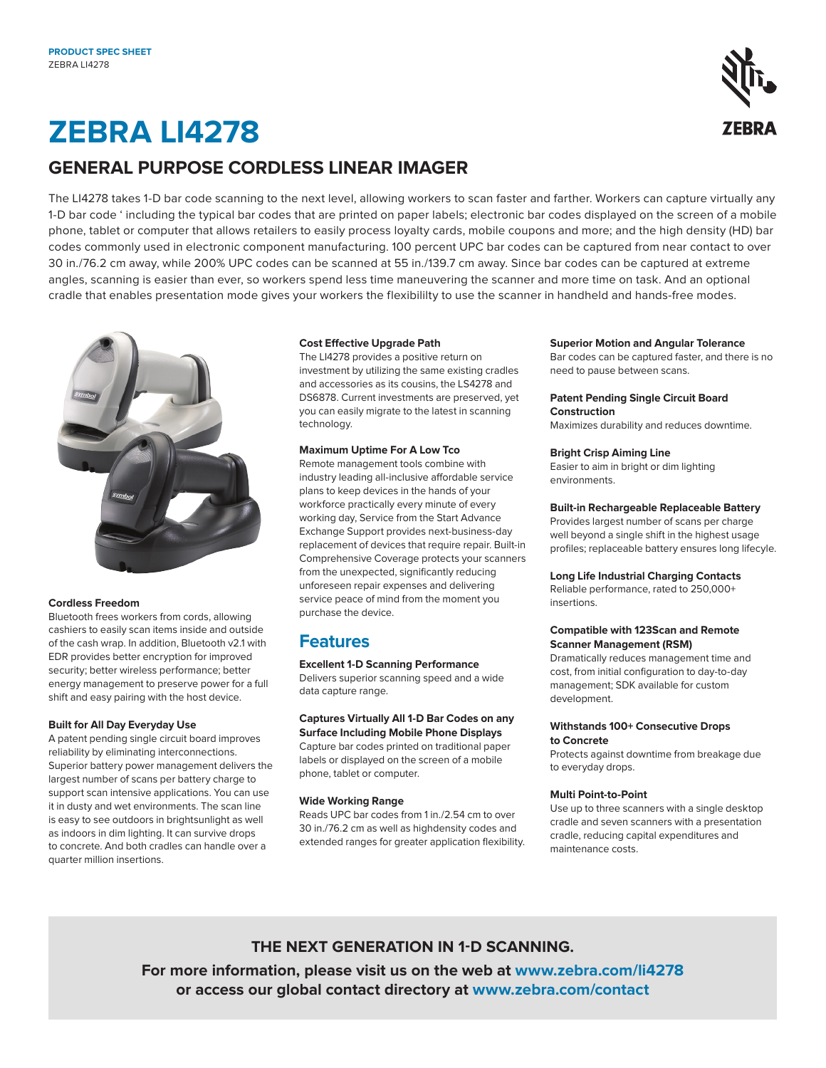

# **ZEBRA LI4278**

## **GENERAL PURPOSE CORDLESS LINEAR IMAGER**

The LI4278 takes 1-D bar code scanning to the next level, allowing workers to scan faster and farther. Workers can capture virtually any 1-D bar code ' including the typical bar codes that are printed on paper labels; electronic bar codes displayed on the screen of a mobile phone, tablet or computer that allows retailers to easily process loyalty cards, mobile coupons and more; and the high density (HD) bar codes commonly used in electronic component manufacturing. 100 percent UPC bar codes can be captured from near contact to over 30 in./76.2 cm away, while 200% UPC codes can be scanned at 55 in./139.7 cm away. Since bar codes can be captured at extreme angles, scanning is easier than ever, so workers spend less time maneuvering the scanner and more time on task. And an optional cradle that enables presentation mode gives your workers the flexibililty to use the scanner in handheld and hands-free modes.



#### **Cordless Freedom**

Bluetooth frees workers from cords, allowing cashiers to easily scan items inside and outside of the cash wrap. In addition, Bluetooth v2.1 with EDR provides better encryption for improved security; better wireless performance; better energy management to preserve power for a full shift and easy pairing with the host device.

#### **Built for All Day Everyday Use**

A patent pending single circuit board improves reliability by eliminating interconnections. Superior battery power management delivers the largest number of scans per battery charge to support scan intensive applications. You can use it in dusty and wet environments. The scan line is easy to see outdoors in brightsunlight as well as indoors in dim lighting. It can survive drops to concrete. And both cradles can handle over a quarter million insertions.

#### **Cost Effective Upgrade Path**

The LI4278 provides a positive return on investment by utilizing the same existing cradles and accessories as its cousins, the LS4278 and DS6878. Current investments are preserved, yet you can easily migrate to the latest in scanning technology.

#### **Maximum Uptime For A Low Tco**

Remote management tools combine with industry leading all-inclusive affordable service plans to keep devices in the hands of your workforce practically every minute of every working day, Service from the Start Advance Exchange Support provides next-business-day replacement of devices that require repair. Built-in Comprehensive Coverage protects your scanners from the unexpected, significantly reducing unforeseen repair expenses and delivering service peace of mind from the moment you purchase the device.

## **Features**

#### **Excellent 1-D Scanning Performance**

Delivers superior scanning speed and a wide data capture range.

#### **Captures Virtually All 1-D Bar Codes on any Surface Including Mobile Phone Displays**

Capture bar codes printed on traditional paper labels or displayed on the screen of a mobile phone, tablet or computer.

#### **Wide Working Range**

Reads UPC bar codes from 1 in./2.54 cm to over 30 in./76.2 cm as well as highdensity codes and extended ranges for greater application flexibility.

#### **Superior Motion and Angular Tolerance**

Bar codes can be captured faster, and there is no need to pause between scans.

#### **Patent Pending Single Circuit Board Construction**

Maximizes durability and reduces downtime.

#### **Bright Crisp Aiming Line**

Easier to aim in bright or dim lighting environments.

#### **Built-in Rechargeable Replaceable Battery**

Provides largest number of scans per charge well beyond a single shift in the highest usage profiles; replaceable battery ensures long lifecyle.

#### **Long Life Industrial Charging Contacts**

Reliable performance, rated to 250,000+ insertions.

#### **Compatible with 123Scan and Remote Scanner Management (RSM)**

Dramatically reduces management time and cost, from initial configuration to day-to-day management; SDK available for custom development.

#### **Withstands 100+ Consecutive Drops to Concrete**

Protects against downtime from breakage due to everyday drops.

#### **Multi Point-to-Point**

Use up to three scanners with a single desktop cradle and seven scanners with a presentation cradle, reducing capital expenditures and maintenance costs.

## **THE NEXT GENERATION IN 1-D SCANNING.**

**For more information, please visit us on the web at [www.zebra.com/](http://www.zebra.com/mc40)li4278 or access our global contact directory at [www.zebra.com/contact](http://www.zebra.com/contact)**